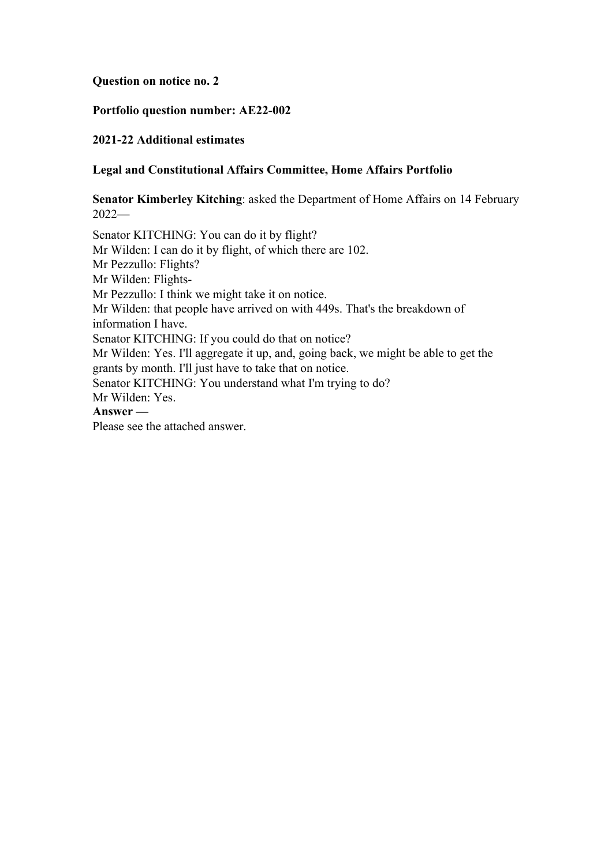**Question on notice no. 2**

### **Portfolio question number: AE22-002**

# **2021-22 Additional estimates**

# **Legal and Constitutional Affairs Committee, Home Affairs Portfolio**

**Senator Kimberley Kitching**: asked the Department of Home Affairs on 14 February 2022—

Senator KITCHING: You can do it by flight? Mr Wilden: I can do it by flight, of which there are 102. Mr Pezzullo: Flights? Mr Wilden: Flights-Mr Pezzullo: I think we might take it on notice. Mr Wilden: that people have arrived on with 449s. That's the breakdown of information I have. Senator KITCHING: If you could do that on notice? Mr Wilden: Yes. I'll aggregate it up, and, going back, we might be able to get the grants by month. I'll just have to take that on notice. Senator KITCHING: You understand what I'm trying to do? Mr Wilden: Yes. **Answer —** Please see the attached answer.